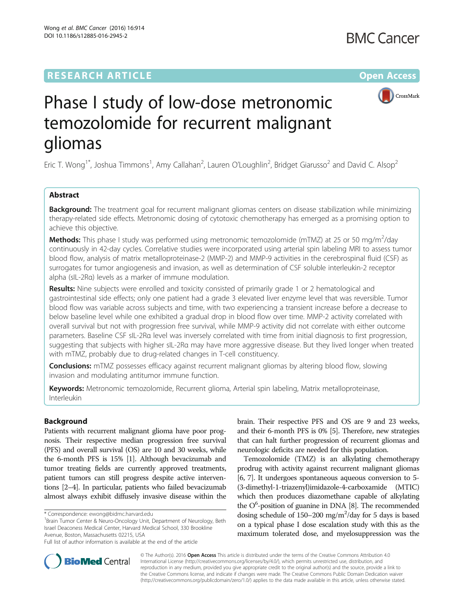# **RESEARCH ARTICLE Example 2014 12:30 The Contract of Contract Article 2014**



# Phase I study of low-dose metronomic temozolomide for recurrent malignant gliomas

Eric T. Wong<sup>1\*</sup>, Joshua Timmons<sup>1</sup>, Amy Callahan<sup>2</sup>, Lauren O'Loughlin<sup>2</sup>, Bridget Giarusso<sup>2</sup> and David C. Alsop<sup>2</sup>

# Abstract

**Background:** The treatment goal for recurrent malignant gliomas centers on disease stabilization while minimizing therapy-related side effects. Metronomic dosing of cytotoxic chemotherapy has emerged as a promising option to achieve this objective.

Methods: This phase I study was performed using metronomic temozolomide (mTMZ) at 25 or 50 mg/m<sup>2</sup>/day continuously in 42-day cycles. Correlative studies were incorporated using arterial spin labeling MRI to assess tumor blood flow, analysis of matrix metalloproteinase-2 (MMP-2) and MMP-9 activities in the cerebrospinal fluid (CSF) as surrogates for tumor angiogenesis and invasion, as well as determination of CSF soluble interleukin-2 receptor alpha (sIL-2Rα) levels as a marker of immune modulation.

Results: Nine subjects were enrolled and toxicity consisted of primarily grade 1 or 2 hematological and gastrointestinal side effects; only one patient had a grade 3 elevated liver enzyme level that was reversible. Tumor blood flow was variable across subjects and time, with two experiencing a transient increase before a decrease to below baseline level while one exhibited a gradual drop in blood flow over time. MMP-2 activity correlated with overall survival but not with progression free survival, while MMP-9 activity did not correlate with either outcome parameters. Baseline CSF sIL-2Rα level was inversely correlated with time from initial diagnosis to first progression, suggesting that subjects with higher sIL-2Rα may have more aggressive disease. But they lived longer when treated with mTMZ, probably due to drug-related changes in T-cell constituency.

**Conclusions:** mTMZ possesses efficacy against recurrent malignant gliomas by altering blood flow, slowing invasion and modulating antitumor immune function.

Keywords: Metronomic temozolomide, Recurrent glioma, Arterial spin labeling, Matrix metalloproteinase, Interleukin

# Background

Patients with recurrent malignant glioma have poor prognosis. Their respective median progression free survival (PFS) and overall survival (OS) are 10 and 30 weeks, while the 6-month PFS is 15% [\[1](#page-8-0)]. Although bevacizumab and tumor treating fields are currently approved treatments, patient tumors can still progress despite active interventions [\[2](#page-8-0)–[4\]](#page-8-0). In particular, patients who failed bevacizumab almost always exhibit diffusely invasive disease within the

<sup>1</sup>Brain Tumor Center & Neuro-Oncology Unit, Department of Neurology, Beth Israel Deaconess Medical Center, Harvard Medical School, 330 Brookline Avenue, Boston, Massachusetts 02215, USA

brain. Their respective PFS and OS are 9 and 23 weeks, and their 6-month PFS is 0% [\[5](#page-8-0)]. Therefore, new strategies that can halt further progression of recurrent gliomas and neurologic deficits are needed for this population.

Temozolomide (TMZ) is an alkylating chemotherapy prodrug with activity against recurrent malignant gliomas [[6](#page-8-0), [7\]](#page-8-0). It undergoes spontaneous aqueous conversion to 5- (3-dimethyl-1-triazenyl)imidazole-4-carboxamide (MTIC) which then produces diazomethane capable of alkylating the O<sup>6</sup>-position of guanine in DNA [[8](#page-8-0)]. The recommended dosing schedule of 150-200 mg/m<sup>2</sup>/day for 5 days is based on a typical phase I dose escalation study with this as the maximum tolerated dose, and myelosuppression was the



© The Author(s). 2016 Open Access This article is distributed under the terms of the Creative Commons Attribution 4.0 International License [\(http://creativecommons.org/licenses/by/4.0/](http://creativecommons.org/licenses/by/4.0/)), which permits unrestricted use, distribution, and reproduction in any medium, provided you give appropriate credit to the original author(s) and the source, provide a link to the Creative Commons license, and indicate if changes were made. The Creative Commons Public Domain Dedication waiver [\(http://creativecommons.org/publicdomain/zero/1.0/](http://creativecommons.org/publicdomain/zero/1.0/)) applies to the data made available in this article, unless otherwise stated.

<sup>\*</sup> Correspondence: [ewong@bidmc.harvard.edu](mailto:ewong@bidmc.harvard.edu) <sup>1</sup>

Full list of author information is available at the end of the article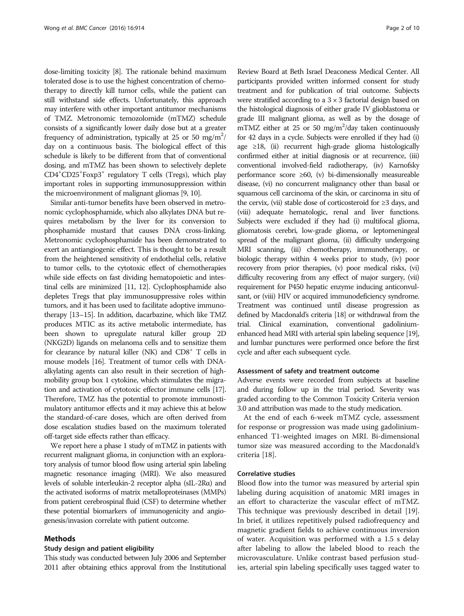dose-limiting toxicity [[8](#page-8-0)]. The rationale behind maximum tolerated dose is to use the highest concentration of chemotherapy to directly kill tumor cells, while the patient can still withstand side effects. Unfortunately, this approach may interfere with other important antitumor mechanisms of TMZ. Metronomic temozolomide (mTMZ) schedule consists of a significantly lower daily dose but at a greater frequency of administration, typically at 25 or 50 mg/m<sup>2</sup>/ day on a continuous basis. The biological effect of this schedule is likely to be different from that of conventional dosing, and mTMZ has been shown to selectively deplete CD4+ CD25+ Foxp3+ regulatory T cells (Tregs), which play important roles in supporting immunosuppression within the microenvironment of malignant gliomas [\[9, 10\]](#page-8-0).

Similar anti-tumor benefits have been observed in metronomic cyclophosphamide, which also alkylates DNA but requires metabolism by the liver for its conversion to phosphamide mustard that causes DNA cross-linking. Metronomic cyclophosphamide has been demonstrated to exert an antiangiogenic effect. This is thought to be a result from the heightened sensitivity of endothelial cells, relative to tumor cells, to the cytotoxic effect of chemotherapies while side effects on fast dividing hematopoietic and intestinal cells are minimized [\[11](#page-8-0), [12\]](#page-8-0). Cyclophosphamide also depletes Tregs that play immunosuppressive roles within tumors, and it has been used to facilitate adoptive immunotherapy [\[13](#page-8-0)–[15\]](#page-8-0). In addition, dacarbazine, which like TMZ produces MTIC as its active metabolic intermediate, has been shown to upregulate natural killer group 2D (NKG2D) ligands on melanoma cells and to sensitize them for clearance by natural killer (NK) and  $CD8<sup>+</sup>$  T cells in mouse models [\[16\]](#page-8-0). Treatment of tumor cells with DNAalkylating agents can also result in their secretion of highmobility group box 1 cytokine, which stimulates the migration and activation of cytotoxic effector immune cells [\[17](#page-8-0)]. Therefore, TMZ has the potential to promote immunostimulatory antitumor effects and it may achieve this at below the standard-of-care doses, which are often derived from dose escalation studies based on the maximum tolerated off-target side effects rather than efficacy.

We report here a phase 1 study of mTMZ in patients with recurrent malignant glioma, in conjunction with an exploratory analysis of tumor blood flow using arterial spin labeling magnetic resonance imaging (MRI). We also measured levels of soluble interleukin-2 receptor alpha (sIL-2Rα) and the activated isoforms of matrix metalloproteinases (MMPs) from patient cerebrospinal fluid (CSF) to determine whether these potential biomarkers of immunogenicity and angiogenesis/invasion correlate with patient outcome.

#### Methods

#### Study design and patient eligibility

This study was conducted between July 2006 and September 2011 after obtaining ethics approval from the Institutional

Review Board at Beth Israel Deaconess Medical Center. All participants provided written informed consent for study treatment and for publication of trial outcome. Subjects were stratified according to a  $3 \times 3$  factorial design based on the histological diagnosis of either grade IV glioblastoma or grade III malignant glioma, as well as by the dosage of mTMZ either at 25 or 50 mg/m<sup>2</sup>/day taken continuously for 42 days in a cycle. Subjects were enrolled if they had (i) age ≥18, (ii) recurrent high-grade glioma histologically confirmed either at initial diagnosis or at recurrence, (iii) conventional involved-field radiotherapy, (iv) Karnofsky performance score  $\geq 60$ , (v) bi-dimensionally measureable disease, (vi) no concurrent malignancy other than basal or squamous cell carcinoma of the skin, or carcinoma in situ of the cervix, (vii) stable dose of corticosteroid for  $\geq 3$  days, and (viii) adequate hematologic, renal and liver functions. Subjects were excluded if they had (i) multifocal glioma, gliomatosis cerebri, low-grade glioma, or leptomeningeal spread of the malignant glioma, (ii) difficulty undergoing MRI scanning, (iii) chemotherapy, immunotherapy, or biologic therapy within 4 weeks prior to study, (iv) poor recovery from prior therapies, (v) poor medical risks, (vi) difficulty recovering from any effect of major surgery, (vii) requirement for P450 hepatic enzyme inducing anticonvulsant, or (viii) HIV or acquired immunodeficiency syndrome. Treatment was continued until disease progression as defined by Macdonald's criteria [\[18](#page-8-0)] or withdrawal from the trial. Clinical examination, conventional gadoliniumenhanced head MRI with arterial spin labeling sequence [\[19\]](#page-8-0), and lumbar punctures were performed once before the first cycle and after each subsequent cycle.

#### Assessment of safety and treatment outcome

Adverse events were recorded from subjects at baseline and during follow up in the trial period. Severity was graded according to the Common Toxicity Criteria version 3.0 and attribution was made to the study medication.

At the end of each 6-week mTMZ cycle, assessment for response or progression was made using gadoliniumenhanced T1-weighted images on MRI. Bi-dimensional tumor size was measured according to the Macdonald's criteria [[18\]](#page-8-0).

#### Correlative studies

Blood flow into the tumor was measured by arterial spin labeling during acquisition of anatomic MRI images in an effort to characterize the vascular effect of mTMZ. This technique was previously described in detail [\[19](#page-8-0)]. In brief, it utilizes repetitively pulsed radiofrequency and magnetic gradient fields to achieve continuous inversion of water. Acquisition was performed with a 1.5 s delay after labeling to allow the labeled blood to reach the microvasculature. Unlike contrast based perfusion studies, arterial spin labeling specifically uses tagged water to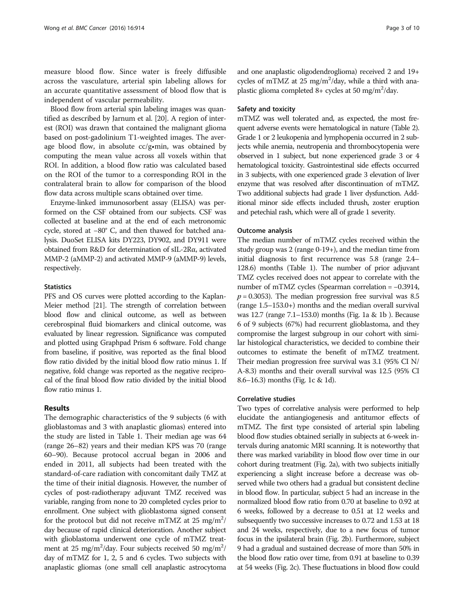measure blood flow. Since water is freely diffusible across the vasculature, arterial spin labeling allows for an accurate quantitative assessment of blood flow that is independent of vascular permeability.

Blood flow from arterial spin labeling images was quantified as described by Jarnum et al. [[20](#page-8-0)]. A region of interest (ROI) was drawn that contained the malignant glioma based on post-gadolinium T1-weighted images. The average blood flow, in absolute cc/g•min, was obtained by computing the mean value across all voxels within that ROI. In addition, a blood flow ratio was calculated based on the ROI of the tumor to a corresponding ROI in the contralateral brain to allow for comparison of the blood flow data across multiple scans obtained over time.

Enzyme-linked immunosorbent assay (ELISA) was performed on the CSF obtained from our subjects. CSF was collected at baseline and at the end of each metronomic cycle, stored at −80° C, and then thawed for batched analysis. DuoSet ELISA kits DY223, DY902, and DY911 were obtained from R&D for determination of sIL-2Rα, activated MMP-2 (aMMP-2) and activated MMP-9 (aMMP-9) levels, respectively.

#### **Statistics**

PFS and OS curves were plotted according to the Kaplan-Meier method [\[21\]](#page-9-0). The strength of correlation between blood flow and clinical outcome, as well as between cerebrospinal fluid biomarkers and clinical outcome, was evaluated by linear regression. Significance was computed and plotted using Graphpad Prism 6 software. Fold change from baseline, if positive, was reported as the final blood flow ratio divided by the initial blood flow ratio minus 1. If negative, fold change was reported as the negative reciprocal of the final blood flow ratio divided by the initial blood flow ratio minus 1.

### Results

The demographic characteristics of the 9 subjects (6 with glioblastomas and 3 with anaplastic gliomas) entered into the study are listed in Table [1.](#page-3-0) Their median age was 64 (range 26–82) years and their median KPS was 70 (range 60–90). Because protocol accrual began in 2006 and ended in 2011, all subjects had been treated with the standard-of-care radiation with concomitant daily TMZ at the time of their initial diagnosis. However, the number of cycles of post-radiotherapy adjuvant TMZ received was variable, ranging from none to 20 completed cycles prior to enrollment. One subject with glioblastoma signed consent for the protocol but did not receive mTMZ at 25 mg/m<sup>2</sup>/ day because of rapid clinical deterioration. Another subject with glioblastoma underwent one cycle of mTMZ treatment at 25 mg/m<sup>2</sup>/day. Four subjects received 50 mg/m<sup>2</sup>/ day of mTMZ for 1, 2, 5 and 6 cycles. Two subjects with anaplastic gliomas (one small cell anaplastic astrocytoma

and one anaplastic oligodendroglioma) received 2 and 19+ cycles of mTMZ at  $25$  mg/m<sup>2</sup>/day, while a third with anaplastic glioma completed  $8+$  cycles at 50 mg/m<sup>2</sup>/day.

# Safety and toxicity

mTMZ was well tolerated and, as expected, the most frequent adverse events were hematological in nature (Table [2\)](#page-3-0). Grade 1 or 2 leukopenia and lymphopenia occurred in 2 subjects while anemia, neutropenia and thrombocytopenia were observed in 1 subject, but none experienced grade 3 or 4 hematological toxicity. Gastrointestinal side effects occurred in 3 subjects, with one experienced grade 3 elevation of liver enzyme that was resolved after discontinuation of mTMZ. Two additional subjects had grade 1 liver dysfunction. Additional minor side effects included thrush, zoster eruption and petechial rash, which were all of grade 1 severity.

#### Outcome analysis

The median number of mTMZ cycles received within the study group was 2 (range 0-19+), and the median time from initial diagnosis to first recurrence was 5.8 (range 2.4– 128.6) months (Table [1](#page-3-0)). The number of prior adjuvant TMZ cycles received does not appear to correlate with the number of mTMZ cycles (Spearman correlation = −0.3914,  $p = 0.3053$ ). The median progression free survival was 8.5 (range 1.5–153.0+) months and the median overall survival was 12.7 (range 7.1–153.0) months (Fig. [1a](#page-4-0) & [1b](#page-4-0) ). Because 6 of 9 subjects (67%) had recurrent glioblastoma, and they compromise the largest subgroup in our cohort with similar histological characteristics, we decided to combine their outcomes to estimate the benefit of mTMZ treatment. Their median progression free survival was 3.1 (95% CI N/ A-8.3) months and their overall survival was 12.5 (95% CI 8.6–16.3) months (Fig. [1c](#page-4-0) & [1d](#page-4-0)).

### Correlative studies

Two types of correlative analysis were performed to help elucidate the antiangiogenesis and antitumor effects of mTMZ. The first type consisted of arterial spin labeling blood flow studies obtained serially in subjects at 6-week intervals during anatomic MRI scanning. It is noteworthy that there was marked variability in blood flow over time in our cohort during treatment (Fig. [2a](#page-5-0)), with two subjects initially experiencing a slight increase before a decrease was observed while two others had a gradual but consistent decline in blood flow. In particular, subject 5 had an increase in the normalized blood flow ratio from 0.70 at baseline to 0.92 at 6 weeks, followed by a decrease to 0.51 at 12 weeks and subsequently two successive increases to 0.72 and 1.53 at 18 and 24 weeks, respectively, due to a new focus of tumor focus in the ipsilateral brain (Fig. [2b](#page-5-0)). Furthermore, subject 9 had a gradual and sustained decrease of more than 50% in the blood flow ratio over time, from 0.91 at baseline to 0.39 at 54 weeks (Fig. [2c\)](#page-5-0). These fluctuations in blood flow could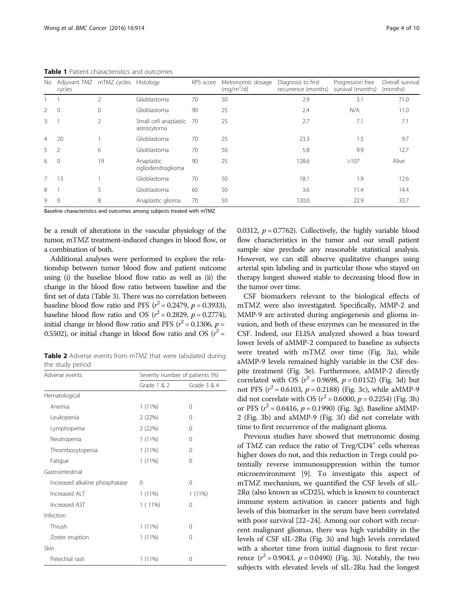| $.99 - .$ |  |
|-----------|--|
|           |  |
|           |  |

| No             | Adjuvant TMZ mTMZ cycles<br>cycles |                | Histology                            | KPS score | Metronomic dosage<br>$(mq/m^2/d)$ | Diagnosis to first<br>recurrence (months) | Progression free<br>survival (months) | Overall survival<br>(months) |
|----------------|------------------------------------|----------------|--------------------------------------|-----------|-----------------------------------|-------------------------------------------|---------------------------------------|------------------------------|
|                |                                    | $\overline{2}$ | Glioblastoma                         | 70        | 50                                | 2.9                                       | 3.1                                   | 71.0                         |
| 2              | $\mathbf{0}$                       | $\mathbf{0}$   | Glioblastoma                         | 90        | 25                                | 2.4                                       | N/A                                   | 11.0                         |
| 3              |                                    | 2              | Small cell anaplastic<br>astrocytoma | 70        | 25                                | 2.7                                       | 7.1                                   | 7.1                          |
| $\overline{4}$ | 20                                 |                | Glioblastoma                         | 70        | 25                                | 23.3                                      | 1.5                                   | 9.7                          |
| 5.             | $\mathfrak{D}$                     | 6              | Glioblastoma                         | 70        | 50                                | 5.8                                       | 9.9                                   | 12.7                         |
| 6              | $\Omega$                           | 19             | Anaplastic<br>ogliodendroglioma      | 90        | 25                                | 128.6                                     | >107                                  | Alive                        |
| $\overline{7}$ | 13                                 |                | Glioblastoma                         | 70        | 50                                | 18.1                                      | 1.9                                   | 12.6                         |
| 8              |                                    | 5              | Glioblastoma                         | 60        | 50                                | 3.6                                       | 11.4                                  | 14.4                         |
| 9              | $\Omega$                           | 8              | Anaplastic glioma                    | 70        | 50                                | 120.0                                     | 22.9                                  | 33.7                         |

<span id="page-3-0"></span>Table 1 Patient characteristics and outcomes

Baseline characteristics and outcomes among subjects treated with mTMZ

be a result of alterations in the vascular physiology of the tumor, mTMZ treatment-induced changes in blood flow, or a combination of both.

Additional analyses were performed to explore the relationship between tumor blood flow and patient outcome using (i) the baseline blood flow ratio as well as (ii) the change in the blood flow ratio between baseline and the first set of data (Table [3](#page-5-0)). There was no correlation between baseline blood flow ratio and PFS ( $r^2 = 0.2479$ ,  $p = 0.3933$ ), baseline blood flow ratio and OS ( $r^2$  = 0.2829,  $p$  = 0.2774), initial change in blood flow ratio and PFS ( $r^2$  = 0.1306,  $p$  = 0.5502), or initial change in blood flow ratio and OS ( $r^2$  =

Table 2 Adverse events from mTMZ that were tabulated during the study period

| Adverse events                 | Severity number of patients (%) |               |  |  |  |
|--------------------------------|---------------------------------|---------------|--|--|--|
|                                | Grade $1 & 2$                   | Grade $3.8.4$ |  |  |  |
| Hematological                  |                                 |               |  |  |  |
| Anemia                         | $1(11\%)$                       | 0             |  |  |  |
| Leukopenia                     | 2(22%)                          | $\Omega$      |  |  |  |
| Lymphopenia                    | 2(22%)                          | $\Omega$      |  |  |  |
| Neutropenia                    | $1(11\%)$                       | $\Omega$      |  |  |  |
| Thrombocytopenia               | $1(11\%)$                       | $\Omega$      |  |  |  |
| Fatigue                        | $1(11\%)$                       | $\Omega$      |  |  |  |
| Gastrointestinal               |                                 |               |  |  |  |
| Increased alkaline phosphatase | $\Omega$                        | $\Omega$      |  |  |  |
| Increased ALT                  | $1(11\%)$                       | $1(11\%)$     |  |  |  |
| Increased AST                  | $1(11\%)$                       | $\Omega$      |  |  |  |
| Infection                      |                                 |               |  |  |  |
| Thrush                         | $1(11\%)$                       | $\Omega$      |  |  |  |
| Zoster eruption                | $1(11\%)$                       | $\Omega$      |  |  |  |
| Skin                           |                                 |               |  |  |  |
| Petechial rash                 | $1(11\%)$                       | 0             |  |  |  |

0.0312,  $p = 0.7762$ ). Collectively, the highly variable blood flow characteristics in the tumor and our small patient sample size preclude any reasonable statistical analysis. However, we can still observe qualitative changes using arterial spin labeling and in particular those who stayed on therapy longest showed stable to decreasing blood flow in the tumor over time.

CSF biomarkers relevant to the biological effects of mTMZ were also investigated. Specifically, MMP-2 and MMP-9 are activated during angiogenesis and glioma invasion, and both of these enzymes can be measured in the CSF. Indeed, our ELISA analyzed showed a bias toward lower levels of aMMP-2 compared to baseline as subjects were treated with mTMZ over time (Fig. [3a\)](#page-7-0), while aMMP-9 levels remained highly variable in the CSF despite treatment (Fig. [3e\)](#page-7-0). Furthermore, aMMP-2 directly correlated with OS ( $r^2 = 0.9698$ ,  $p = 0.0152$ ) (Fig. [3d](#page-7-0)) but not PFS ( $r^2 = 0.6103$ ,  $p = 0.2188$ ) (Fig. [3c](#page-7-0)), while aMMP-9 did not correlate with OS ( $r^2$  = 0.6000,  $p$  = 0.2254) (Fig. [3h](#page-7-0)) or PFS ( $r^2 = 0.6416$ ,  $p = 0.1990$ ) (Fig. [3g](#page-7-0)). Baseline aMMP-2 (Fig. [3b\)](#page-7-0) and aMMP-9 (Fig. [3f](#page-7-0)) did not correlate with time to first recurrence of the malignant glioma.

Previous studies have showed that metronomic dosing of TMZ can reduce the ratio of Treg/CD4<sup>+</sup> cells whereas higher doses do not, and this reduction in Tregs could potentially reverse immunosuppression within the tumor microenvironment [\[9\]](#page-8-0). To investigate this aspect of mTMZ mechanism, we quantified the CSF levels of sIL-2Rα (also known as sCD25), which is known to counteract immune system activation in cancer patients and high levels of this biomarker in the serum have been correlated with poor survival [\[22](#page-9-0)–[24](#page-9-0)]. Among our cohort with recurrent malignant gliomas, there was high variability in the levels of CSF sIL-2Rα (Fig. [3i](#page-7-0)) and high levels correlated with a shorter time from initial diagnosis to first recurrence  $(r^2 = 0.9043, p = 0.0490)$  (Fig. [3j\)](#page-7-0). Notably, the two subjects with elevated levels of sIL-2Rα had the longest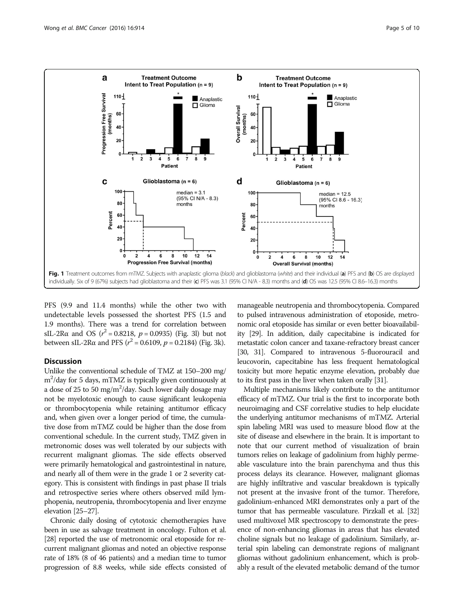<span id="page-4-0"></span>

PFS (9.9 and 11.4 months) while the other two with undetectable levels possessed the shortest PFS (1.5 and 1.9 months). There was a trend for correlation between sIL-2Rα and OS ( $r^2$  = 0.8218,  $p$  = 0.0935) (Fig. [3l\)](#page-7-0) but not between sIL-2Rα and PFS ( $r^2$  = 0.6109,  $p$  = 0.2184) (Fig. [3k](#page-7-0)).

# **Discussion**

Unlike the conventional schedule of TMZ at 150–200 mg/ m2 /day for 5 days, mTMZ is typically given continuously at a dose of 25 to 50 mg/m<sup>2</sup>/day. Such lower daily dosage may not be myelotoxic enough to cause significant leukopenia or thrombocytopenia while retaining antitumor efficacy and, when given over a longer period of time, the cumulative dose from mTMZ could be higher than the dose from conventional schedule. In the current study, TMZ given in metronomic doses was well tolerated by our subjects with recurrent malignant gliomas. The side effects observed were primarily hematological and gastrointestinal in nature, and nearly all of them were in the grade 1 or 2 severity category. This is consistent with findings in past phase II trials and retrospective series where others observed mild lymphopenia, neutropenia, thrombocytopenia and liver enzyme elevation [\[25](#page-9-0)–[27\]](#page-9-0).

Chronic daily dosing of cytotoxic chemotherapies have been in use as salvage treatment in oncology. Fulton et al. [[28](#page-9-0)] reported the use of metronomic oral etoposide for recurrent malignant gliomas and noted an objective response rate of 18% (8 of 46 patients) and a median time to tumor progression of 8.8 weeks, while side effects consisted of

manageable neutropenia and thrombocytopenia. Compared to pulsed intravenous administration of etoposide, metronomic oral etoposide has similar or even better bioavailability [\[29](#page-9-0)]. In addition, daily capecitabine is indicated for metastatic colon cancer and taxane-refractory breast cancer [[30](#page-9-0), [31\]](#page-9-0). Compared to intravenous 5-fluorouracil and leucovorin, capecitabine has less frequent hematological toxicity but more hepatic enzyme elevation, probably due to its first pass in the liver when taken orally [[31](#page-9-0)].

Multiple mechanisms likely contribute to the antitumor efficacy of mTMZ. Our trial is the first to incorporate both neuroimaging and CSF correlative studies to help elucidate the underlying antitumor mechanisms of mTMZ. Arterial spin labeling MRI was used to measure blood flow at the site of disease and elsewhere in the brain. It is important to note that our current method of visualization of brain tumors relies on leakage of gadolinium from highly permeable vasculature into the brain parenchyma and thus this process delays its clearance. However, malignant gliomas are highly infiltrative and vascular breakdown is typically not present at the invasive front of the tumor. Therefore, gadolinium-enhanced MRI demonstrates only a part of the tumor that has permeable vasculature. Pirzkall et al. [\[32](#page-9-0)] used multivoxel MR spectroscopy to demonstrate the presence of non-enhancing gliomas in areas that has elevated choline signals but no leakage of gadolinium. Similarly, arterial spin labeling can demonstrate regions of malignant gliomas without gadolinium enhancement, which is probably a result of the elevated metabolic demand of the tumor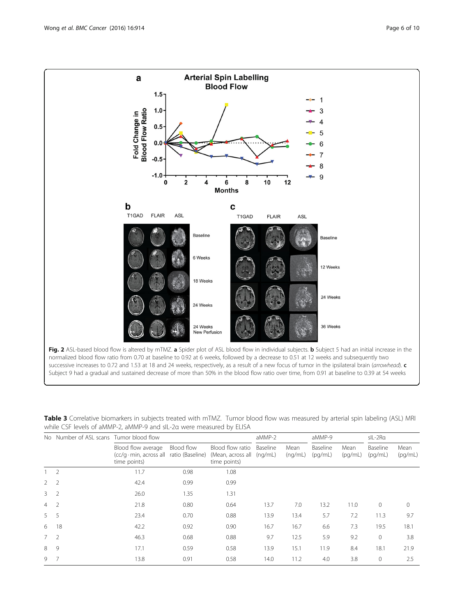<span id="page-5-0"></span>

| the contract of the contract of the contract of the contract of the contract of the contract of the contract of<br>.<br>while CSF levels of aMMP-2, aMMP-9 and sIL-2a were measured by ELISA |                               |  |                           |        |      |          |      |          |      |
|----------------------------------------------------------------------------------------------------------------------------------------------------------------------------------------------|-------------------------------|--|---------------------------|--------|------|----------|------|----------|------|
| No Number of ASL scans Tumor blood flow                                                                                                                                                      |                               |  |                           | aMMP-2 |      | aMMP-9   |      | sII -2Ra |      |
|                                                                                                                                                                                              | Blood flow average Blood flow |  | Blood flow ratio Baseline |        | Mean | Baseline | Mean | Baseline | Mean |

|                                                                      | Table 3 Correlative biomarkers in subjects treated with mTMZ. Tumor blood flow was measured by arterial spin labeling (ASL) MRI |
|----------------------------------------------------------------------|---------------------------------------------------------------------------------------------------------------------------------|
| while CSF levels of aMMP-2, aMMP-9 and sIL-2a were measured by ELISA |                                                                                                                                 |

| NO.            | Number of ASL scans | Tumor blood flow                                                     |                                |                                                               | ammP-2   |                 | ammP-9              |                 | sil-zka             |                 |
|----------------|---------------------|----------------------------------------------------------------------|--------------------------------|---------------------------------------------------------------|----------|-----------------|---------------------|-----------------|---------------------|-----------------|
|                |                     | Blood flow average<br>$(cc/q \cdot min$ , across all<br>time points) | Blood flow<br>ratio (Baseline) | Blood flow ratio<br>(Mean, across all (ng/mL)<br>time points) | Baseline | Mean<br>(nq/mL) | Baseline<br>(pq/mL) | Mean<br>(pq/mL) | Baseline<br>(pq/mL) | Mean<br>(pq/mL) |
| $1 \quad 2$    |                     | 11.7                                                                 | 0.98                           | 1.08                                                          |          |                 |                     |                 |                     |                 |
| 2 <sup>2</sup> |                     | 42.4                                                                 | 0.99                           | 0.99                                                          |          |                 |                     |                 |                     |                 |
| 3 <sup>2</sup> |                     | 26.0                                                                 | 1.35                           | 1.31                                                          |          |                 |                     |                 |                     |                 |
| $4\quad 2$     |                     | 21.8                                                                 | 0.80                           | 0.64                                                          | 13.7     | 7.0             | 13.2                | 11.0            | 0                   | $\mathbf{0}$    |
| 5 <sup>7</sup> | -5                  | 23.4                                                                 | 0.70                           | 0.88                                                          | 13.9     | 13.4            | 5.7                 | 7.2             | 11.3                | 9.7             |
| 6              | 18                  | 42.2                                                                 | 0.92                           | 0.90                                                          | 16.7     | 16.7            | 6.6                 | 7.3             | 19.5                | 18.1            |
| 7 <sup>2</sup> |                     | 46.3                                                                 | 0.68                           | 0.88                                                          | 9.7      | 12.5            | 5.9                 | 9.2             | $\Omega$            | 3.8             |
| 8              | - 9                 | 17.1                                                                 | 0.59                           | 0.58                                                          | 13.9     | 15.1            | 11.9                | 8.4             | 18.1                | 21.9            |
| 9 <sub>7</sub> |                     | 13.8                                                                 | 0.91                           | 0.58                                                          | 14.0     | 11.2            | 4.0                 | 3.8             | $\mathbf{0}$        | 2.5             |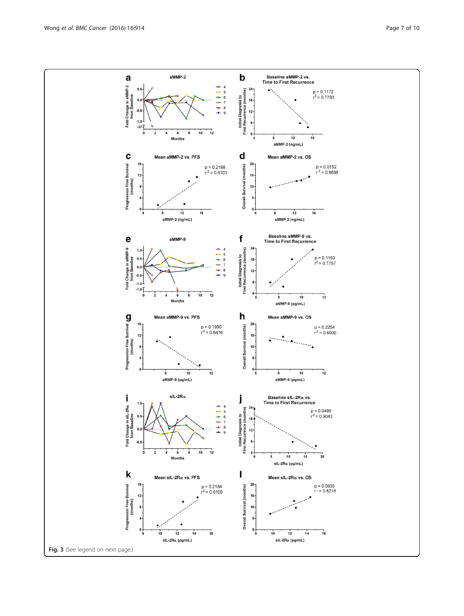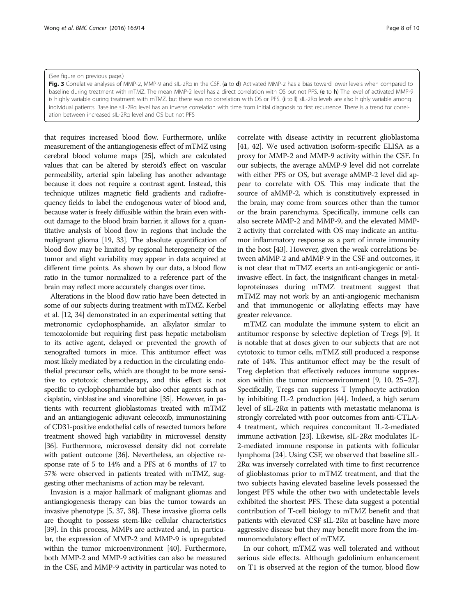#### <span id="page-7-0"></span>(See figure on previous page.)

Fig. 3 Correlative analyses of MMP-2, MMP-9 and sIL-2Ra in the CSF. (a to d) Activated MMP-2 has a bias toward lower levels when compared to baseline during treatment with mTMZ. The mean MMP-2 level has a direct correlation with OS but not PFS. (e to h) The level of activated MMP-9 is highly variable during treatment with mTMZ, but there was no correlation with OS or PFS. (i to I) sIL-2Ra levels are also highly variable among individual patients. Baseline sIL-2Rα level has an inverse correlation with time from initial diagnosis to first recurrence. There is a trend for correlation between increased sIL-2Rα level and OS but not PFS

that requires increased blood flow. Furthermore, unlike measurement of the antiangiogenesis effect of mTMZ using cerebral blood volume maps [\[25](#page-9-0)], which are calculated values that can be altered by steroid's effect on vascular permeability, arterial spin labeling has another advantage because it does not require a contrast agent. Instead, this technique utilizes magnetic field gradients and radiofrequency fields to label the endogenous water of blood and, because water is freely diffusible within the brain even without damage to the blood brain barrier, it allows for a quantitative analysis of blood flow in regions that include the malignant glioma [[19](#page-8-0), [33\]](#page-9-0). The absolute quantification of blood flow may be limited by regional heterogeneity of the tumor and slight variability may appear in data acquired at different time points. As shown by our data, a blood flow ratio in the tumor normalized to a reference part of the brain may reflect more accurately changes over time.

Alterations in the blood flow ratio have been detected in some of our subjects during treatment with mTMZ. Kerbel et al. [[12](#page-8-0), [34\]](#page-9-0) demonstrated in an experimental setting that metronomic cyclophosphamide, an alkylator similar to temozolomide but requiring first pass hepatic metabolism to its active agent, delayed or prevented the growth of xenografted tumors in mice. This antitumor effect was most likely mediated by a reduction in the circulating endothelial precursor cells, which are thought to be more sensitive to cytotoxic chemotherapy, and this effect is not specific to cyclophosphamide but also other agents such as cisplatin, vinblastine and vinorelbine [\[35\]](#page-9-0). However, in patients with recurrent glioblastomas treated with mTMZ and an antiangiogenic adjuvant celecoxib, immunostaining of CD31-positive endothelial cells of resected tumors before treatment showed high variability in microvessel density [[36](#page-9-0)]. Furthermore, microvessel density did not correlate with patient outcome [\[36\]](#page-9-0). Nevertheless, an objective response rate of 5 to 14% and a PFS at 6 months of 17 to 57% were observed in patients treated with mTMZ, suggesting other mechanisms of action may be relevant.

Invasion is a major hallmark of malignant gliomas and antiangiogenesis therapy can bias the tumor towards an invasive phenotype [\[5](#page-8-0), [37, 38\]](#page-9-0). These invasive glioma cells are thought to possess stem-like cellular characteristics [[39](#page-9-0)]. In this process, MMPs are activated and, in particular, the expression of MMP-2 and MMP-9 is upregulated within the tumor microenvironment [[40](#page-9-0)]. Furthermore, both MMP-2 and MMP-9 activities can also be measured in the CSF, and MMP-9 activity in particular was noted to

correlate with disease activity in recurrent glioblastoma [[41](#page-9-0), [42](#page-9-0)]. We used activation isoform-specific ELISA as a proxy for MMP-2 and MMP-9 activity within the CSF. In our subjects, the average aMMP-9 level did not correlate with either PFS or OS, but average aMMP-2 level did appear to correlate with OS. This may indicate that the source of aMMP-2, which is constitutively expressed in the brain, may come from sources other than the tumor or the brain parenchyma. Specifically, immune cells can also secrete MMP-2 and MMP-9, and the elevated MMP-2 activity that correlated with OS may indicate an antitumor inflammatory response as a part of innate immunity in the host [\[43\]](#page-9-0). However, given the weak correlations between aMMP-2 and aMMP-9 in the CSF and outcomes, it is not clear that mTMZ exerts an anti-angiogenic or antiinvasive effect. In fact, the insignificant changes in metalloproteinases during mTMZ treatment suggest that mTMZ may not work by an anti-angiogenic mechanism and that immunogenic or alkylating effects may have greater relevance.

mTMZ can modulate the immune system to elicit an antitumor response by selective depletion of Tregs [[9\]](#page-8-0). It is notable that at doses given to our subjects that are not cytotoxic to tumor cells, mTMZ still produced a response rate of 14%. This antitumor effect may be the result of Treg depletion that effectively reduces immune suppression within the tumor microenvironment [[9, 10](#page-8-0), [25](#page-9-0)–[27](#page-9-0)]. Specifically, Tregs can suppress T lymphocyte activation by inhibiting IL-2 production [\[44\]](#page-9-0). Indeed, a high serum level of sIL-2Rα in patients with metastatic melanoma is strongly correlated with poor outcomes from anti-CTLA-4 treatment, which requires concomitant IL-2-mediated immune activation [\[23](#page-9-0)]. Likewise, sIL-2Rα modulates IL-2-mediated immune response in patients with follicular lymphoma [\[24\]](#page-9-0). Using CSF, we observed that baseline sIL-2Rα was inversely correlated with time to first recurrence of glioblastomas prior to mTMZ treatment, and that the two subjects having elevated baseline levels possessed the longest PFS while the other two with undetectable levels exhibited the shortest PFS. These data suggest a potential contribution of T-cell biology to mTMZ benefit and that patients with elevated CSF sIL-2Rα at baseline have more aggressive disease but they may benefit more from the immunomodulatory effect of mTMZ.

In our cohort, mTMZ was well tolerated and without serious side effects. Although gadolinium enhancement on T1 is observed at the region of the tumor, blood flow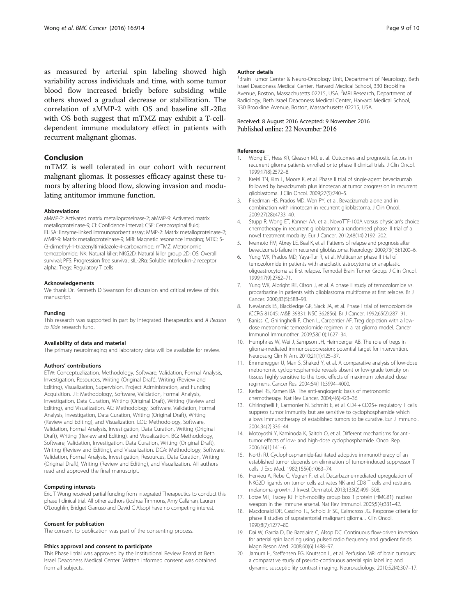<span id="page-8-0"></span>as measured by arterial spin labeling showed high variability across individuals and time, with some tumor blood flow increased briefly before subsiding while others showed a gradual decrease or stabilization. The correlation of aMMP-2 with OS and baseline sIL-2Rα with OS both suggest that mTMZ may exhibit a T-celldependent immune modulatory effect in patients with recurrent malignant gliomas.

# Conclusion

mTMZ is well tolerated in our cohort with recurrent malignant gliomas. It possesses efficacy against these tumors by altering blood flow, slowing invasion and modulating antitumor immune function.

#### Abbreviations

aMMP-2: Activated matrix metalloproteinase-2; aMMP-9: Activated matrix metalloproteinase-9; CI: Confidence interval; CSF: Cerebrospinal fluid; ELISA: Enzyme-linked immunosorbent assay; MMP-2: Matrix metalloproteinase-2; MMP-9: Matrix metalloproteinase-9; MRI: Magnetic resonance imaging; MTIC: 5- (3-dimethyl-1-triazenyl)imidazole-4-carboxamide; mTMZ: Metronomic temozolomide; NK: Natural killer; NKG2D: Natural killer group 2D; OS: Overall survival; PFS: Progression free survival; sIL-2Rα: Soluble interleukin-2 receptor alpha; Tregs: Regulatory T cells

#### Acknowledgements

We thank Dr. Kenneth D Swanson for discussion and critical review of this manuscript.

#### Funding

This research was supported in part by Integrated Therapeutics and A Reason to Ride research fund.

#### Availability of data and material

The primary neuroimaging and laboratory data will be available for review.

#### Authors' contributions

ETW: Conceptualization, Methodology, Software, Validation, Formal Analysis, Investigation, Resources, Writing (Original Draft), Writing (Review and Editing), Visualization, Supervision, Project Administration, and Funding Acquisition. JT: Methodology, Software, Validation, Formal Analysis, Investigation, Data Curation, Writing (Original Draft), Writing (Review and Editing), and Visualization. AC: Methodology, Software, Validation, Formal Analysis, Investigation, Data Curation, Writing (Original Draft), Writing (Review and Editing), and Visualization. LOL: Methodology, Software, Validation, Formal Analysis, Investigation, Data Curation, Writing (Original Draft), Writing (Review and Editing), and Visualization. BG: Methodology, Software, Validation, Investigation, Data Curation, Writing (Original Draft), Writing (Review and Editing), and Visualization. DCA: Methodology, Software, Validation, Formal Analysis, Investigation, Resources, Data Curation, Writing (Original Draft), Writing (Review and Editing), and Visualization. All authors read and approved the final manuscript.

#### Competing interests

Eric T Wong received partial funding from Integrated Therapeutics to conduct this phase I clinical trial. All other authors (Joshua Timmons, Amy Callahan, Lauren O'Loughlin, Bridget Giarruso and David C Alsop) have no competing interest.

#### Consent for publication

The consent to publication was part of the consenting process.

#### Ethics approval and consent to participate

This Phase I trial was approved by the Institutional Review Board at Beth Israel Deaconess Medical Center. Written informed consent was obtained from all subjects.

#### Author details

<sup>1</sup> Brain Tumor Center & Neuro-Oncology Unit, Department of Neurology, Beth Israel Deaconess Medical Center, Harvard Medical School, 330 Brookline Avenue, Boston, Massachusetts 02215, USA. <sup>2</sup>MRI Research, Department of Radiology, Beth Israel Deaconess Medical Center, Harvard Medical School, 330 Brookline Avenue, Boston, Massachusetts 02215, USA.

#### Received: 8 August 2016 Accepted: 9 November 2016 Published online: 22 November 2016

#### References

- 1. Wong ET, Hess KR, Gleason MJ, et al. Outcomes and prognostic factors in recurrent glioma patients enrolled onto phase II clinical trials. J Clin Oncol. 1999;17(8):2572–8.
- 2. Kreisl TN, Kim L, Moore K, et al. Phase II trial of single-agent bevacizumab followed by bevacizumab plus irinotecan at tumor progression in recurrent glioblastoma. J Clin Oncol. 2009;27(5):740–5.
- 3. Friedman HS, Prados MD, Wen PY, et al. Bevacizumab alone and in combination with irinotecan in recurrent glioblastoma. J Clin Oncol. 2009;27(28):4733–40.
- 4. Stupp R, Wong ET, Kanner AA, et al. NovoTTF-100A versus physician's choice chemotherapy in recurrent glioblastoma: a randomised phase III trial of a novel treatment modality. Eur J Cancer. 2012;48(14):2192–202.
- 5. Iwamoto FM, Abrey LE, Beal K, et al. Patterns of relapse and prognosis after bevacizumab failure in recurrent glioblastoma. Neurology. 2009;73(15):1200–6.
- 6. Yung WK, Prados MD, Yaya-Tur R, et al. Multicenter phase II trial of temozolomide in patients with anaplastic astrocytoma or anaplastic oligoastrocytoma at first relapse. Temodal Brain Tumor Group. J Clin Oncol. 1999;17(9):2762–71.
- 7. Yung WK, Albright RE, Olson J, et al. A phase II study of temozolomide vs. procarbazine in patients with glioblastoma multiforme at first relapse. Br J Cancer. 2000;83(5):588–93.
- 8. Newlands ES, Blackledge GR, Slack JA, et al. Phase I trial of temozolomide (CCRG 81045: M&B 39831: NSC 362856). Br J Cancer. 1992;65(2):287–91.
- 9. Banissi C, Ghiringhelli F, Chen L, Carpentier AF. Treg depletion with a lowdose metronomic temozolomide regimen in a rat glioma model. Cancer Immunol Immunother. 2009;58(10):1627–34.
- 10. Humphries W, Wei J, Sampson JH, Heimberger AB. The role of tregs in glioma-mediated immunosuppression: potential target for intervention. Neurosurg Clin N Am. 2010;21(1):125–37.
- 11. Emmenegger U, Man S, Shaked Y, et al. A comparative analysis of low-dose metronomic cyclophosphamide reveals absent or low-grade toxicity on tissues highly sensitive to the toxic effects of maximum tolerated dose regimens. Cancer Res. 2004;64(11):3994–4000.
- 12. Kerbel RS, Kamen BA. The anti-angiogenic basis of metronomic chemotherapy. Nat Rev Cancer. 2004;4(6):423–36.
- 13. Ghiringhelli F, Larmonier N, Schmitt E, et al. CD4 + CD25+ regulatory T cells suppress tumor immunity but are sensitive to cyclophosphamide which allows immunotherapy of established tumors to be curative. Eur J Immunol. 2004;34(2):336–44.
- 14. Motoyoshi Y, Kaminoda K, Saitoh O, et al. Different mechanisms for antitumor effects of low- and high-dose cyclophosphamide. Oncol Rep. 2006;16(1):141–6.
- 15. North RJ. Cyclophosphamide-facilitated adoptive immunotherapy of an established tumor depends on elimination of tumor-induced suppressor T cells. J Exp Med. 1982;155(4):1063–74.
- 16. Hervieu A, Rebe C, Vegran F, et al. Dacarbazine-mediated upregulation of NKG2D ligands on tumor cells activates NK and CD8 T cells and restrains melanoma growth. J Invest Dermatol. 2013;133(2):499–508.
- 17. Lotze MT, Tracey KJ. High-mobility group box 1 protein (HMGB1): nuclear weapon in the immune arsenal. Nat Rev Immunol. 2005;5(4):331–42.
- 18. Macdonald DR, Cascino TL, Schold Jr SC, Cairncross JG. Response criteria for phase II studies of supratentorial malignant glioma. J Clin Oncol. 1990;8(7):1277–80.
- 19. Dai W, Garcia D, De Bazelaire C, Alsop DC. Continuous flow-driven inversion for arterial spin labeling using pulsed radio frequency and gradient fields. Magn Reson Med. 2008;60(6):1488–97.
- 20. Jarnum H, Steffensen EG, Knutsson L, et al. Perfusion MRI of brain tumours: a comparative study of pseudo-continuous arterial spin labelling and dynamic susceptibility contrast imaging. Neuroradiology. 2010;52(4):307–17.